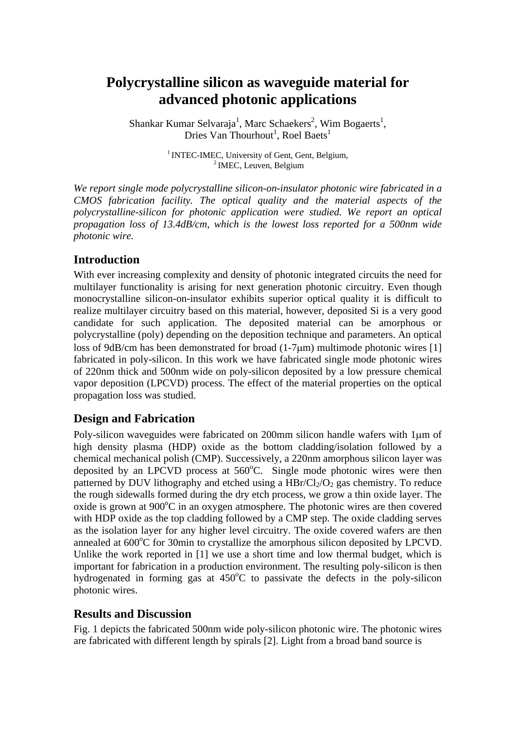# **Polycrystalline silicon as waveguide material for advanced photonic applications**

Shankar Kumar Selvaraja<sup>1</sup>, Marc Schaekers<sup>2</sup>, Wim Bogaerts<sup>1</sup>, Dries Van Thourhout<sup>1</sup>, Roel Baets<sup>1</sup>

<sup>1</sup> INTEC-IMEC, University of Gent, Gent, Belgium,  $\frac{2 \text{IMEC}}{2 \text{IMEC}}$ , Leuven, Belgium

*We report single mode polycrystalline silicon-on-insulator photonic wire fabricated in a CMOS fabrication facility. The optical quality and the material aspects of the polycrystalline-silicon for photonic application were studied. We report an optical propagation loss of 13.4dB/cm, which is the lowest loss reported for a 500nm wide photonic wire.*

### **Introduction**

With ever increasing complexity and density of photonic integrated circuits the need for multilayer functionality is arising for next generation photonic circuitry. Even though monocrystalline silicon-on-insulator exhibits superior optical quality it is difficult to realize multilayer circuitry based on this material, however, deposited Si is a very good candidate for such application. The deposited material can be amorphous or polycrystalline (poly) depending on the deposition technique and parameters. An optical loss of 9dB/cm has been demonstrated for broad (1-7μm) multimode photonic wires [1] fabricated in poly-silicon. In this work we have fabricated single mode photonic wires of 220nm thick and 500nm wide on poly-silicon deposited by a low pressure chemical vapor deposition (LPCVD) process. The effect of the material properties on the optical propagation loss was studied.

## **Design and Fabrication**

Poly-silicon waveguides were fabricated on 200mm silicon handle wafers with 1μm of high density plasma (HDP) oxide as the bottom cladding/isolation followed by a chemical mechanical polish (CMP). Successively, a 220nm amorphous silicon layer was deposited by an LPCVD process at  $560^{\circ}$ C. Single mode photonic wires were then patterned by DUV lithography and etched using a  $HBr/Cl<sub>2</sub>/O<sub>2</sub>$  gas chemistry. To reduce the rough sidewalls formed during the dry etch process, we grow a thin oxide layer. The oxide is grown at 900°C in an oxygen atmosphere. The photonic wires are then covered with HDP oxide as the top cladding followed by a CMP step. The oxide cladding serves as the isolation layer for any higher level circuitry. The oxide covered wafers are then annealed at 600°C for 30min to crystallize the amorphous silicon deposited by LPCVD. Unlike the work reported in [1] we use a short time and low thermal budget, which is important for fabrication in a production environment. The resulting poly-silicon is then hydrogenated in forming gas at 450°C to passivate the defects in the poly-silicon photonic wires.

#### **Results and Discussion**

Fig. 1 depicts the fabricated 500nm wide poly-silicon photonic wire. The photonic wires are fabricated with different length by spirals [2]. Light from a broad band source is